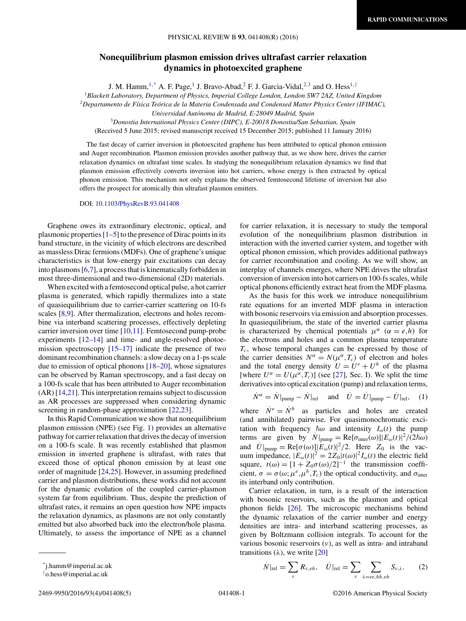## <span id="page-0-0"></span>**Nonequilibrium plasmon emission drives ultrafast carrier relaxation dynamics in photoexcited graphene**

J. M. Hamm,  $1, * A$ . F. Page,<sup>1</sup> J. Bravo-Abad,<sup>2</sup> F. J. Garcia-Vidal,<sup>2,3</sup> and O. Hess<sup>1,†</sup>

<sup>1</sup>*Blackett Laboratory, Department of Physics, Imperial College London, London SW7 2AZ, United Kingdom* <sup>2</sup>*Departamento de F´ısica Teorica de la Materia Condensada and Condensed Matter Physics Center (IFIMAC), ´*

*Universidad Autonoma de Madrid, E-28049 Madrid, Spain ´*

<sup>3</sup>*Donostia International Physics Center (DIPC), E-20018 Donostia/San Sebastian, Spain*

(Received 5 June 2015; revised manuscript received 15 December 2015; published 11 January 2016)

The fast decay of carrier inversion in photoexcited graphene has been attributed to optical phonon emission and Auger recombination. Plasmon emission provides another pathway that, as we show here, drives the carrier relaxation dynamics on ultrafast time scales. In studying the nonequilibrium relaxation dynamics we find that plasmon emission effectively converts inversion into hot carriers, whose energy is then extracted by optical phonon emission. This mechanism not only explains the observed femtosecond lifetime of inversion but also offers the prospect for atomically thin ultrafast plasmon emitters.

DOI: [10.1103/PhysRevB.93.041408](http://dx.doi.org/10.1103/PhysRevB.93.041408)

Graphene owes its extraordinary electronic, optical, and plasmonic properties  $[1-5]$  to the presence of Dirac points in its band structure, in the vicinity of which electrons are described as massless Dirac fermions (MDFs). One of graphene's unique characteristics is that low-energy pair excitations can decay into plasmons [\[6,7\]](#page-3-0), a process that is kinematically forbidden in most three-dimensional and two-dimensional (2D) materials.

When excited with a femtosecond optical pulse, a hot carrier plasma is generated, which rapidly thermalizes into a state of quasiequilibrium due to carrier-carrier scattering on 10-fs scales [\[8,9\]](#page-3-0). After thermalization, electrons and holes recombine via interband scattering processes, effectively depleting carrier inversion over time [\[10,11\]](#page-3-0). Femtosecond pump-probe experiments [\[12](#page-3-0)[–14\]](#page-4-0) and time- and angle-resolved photoemission spectroscopy [\[15–17\]](#page-4-0) indicate the presence of two dominant recombination channels: a slow decay on a 1-ps scale due to emission of optical phonons  $[18–20]$ , whose signatures can be observed by Raman spectroscopy, and a fast decay on a 100-fs scale that has been attributed to Auger recombination (AR) [\[14,21\]](#page-4-0). This interpretation remains subject to discussion as AR processes are suppressed when considering dynamic screening in random-phase approximation [\[22,23\]](#page-4-0).

In this Rapid Communication we show that nonequilibrium plasmon emission (NPE) (see Fig. [1\)](#page-1-0) provides an alternative pathway for carrier relaxation that drives the decay of inversion on a 100-fs scale. It was recently established that plasmon emission in inverted graphene is ultrafast, with rates that exceed those of optical phonon emission by at least one order of magnitude [\[24,25\]](#page-4-0). However, in assuming predefined carrier and plasmon distributions, these works did not account for the dynamic evolution of the coupled carrier-plasmon system far from equilibrium. Thus, despite the prediction of ultrafast rates, it remains an open question how NPE impacts the relaxation dynamics, as plasmons are not only constantly emitted but also absorbed back into the electron/hole plasma. Ultimately, to assess the importance of NPE as a channel for carrier relaxation, it is necessary to study the temporal evolution of the nonequilibrium plasmon distribution in interaction with the inverted carrier system, and together with optical phonon emission, which provides additional pathways for carrier recombination and cooling. As we will show, an interplay of channels emerges, where NPE drives the ultrafast conversion of inversion into hot carriers on 100-fs scales, while optical phonons efficiently extract heat from the MDF plasma.

As the basis for this work we introduce nonequilibrium rate equations for an inverted MDF plasma in interaction with bosonic reservoirs via emission and absorption processes. In quasiequilibrium, the state of the inverted carrier plasma is characterized by chemical potentials  $\mu^{\alpha}$  ( $\alpha = e, h$ ) for the electrons and holes and a common plasma temperature *Tc*, whose temporal changes can be expressed by those of the carrier densities  $N^{\alpha} = N(\mu^{\alpha}, T_c)$  of electron and holes and the total energy density  $U = U^e + U^h$  of the plasma [where  $U^{\alpha} = U(\mu^{\alpha}, T_c)$ ] (see [\[27\]](#page-4-0), Sec. I). We split the time derivatives into optical excitation (pump) and relaxation terms,

$$
\dot{N}^{\alpha} = \dot{N}|_{\text{pump}} - \dot{N}|_{\text{rel}} \quad \text{and} \quad \dot{U} = \dot{U}|_{\text{pump}} - \dot{U}|_{\text{rel}}, \quad (1)
$$

where  $\dot{N}^e = \dot{N}^h$  as particles and holes are created (and annihilated) pairwise. For quasimonochromatic excitation with frequency  $\hbar \omega$  and intensity  $I_{\omega}(t)$  the pump terms are given by  $N|_{\text{pump}} = \text{Re}[\sigma_{\text{inter}}(\omega)] | E_{\omega}(t)|^2 / (2\hbar\omega)$ and  $U|_{\text{pump}} = \text{Re}[\sigma(\omega)] |E_{\omega}(t)|^2 / 2$ . Here  $Z_0$  is the vacuum impedance,  $|E_{\omega}(t)|^2 = 2Z_0|t(\omega)|^2I_{\omega}(t)$  the electric field square,  $t(\omega) = [1 + Z_0 \sigma(\omega)/2]^{-1}$  the transmission coefficient,  $\sigma = \sigma(\omega; \mu^e, \mu^h, T_c)$  the optical conductivity, and  $\sigma_{\text{inter}}$ its interband only contribution.

Carrier relaxation, in turn, is a result of the interaction with bosonic reservoirs, such as the plasmon and optical phonon fields [\[26\]](#page-4-0). The microscopic mechanisms behind the dynamic relaxation of the carrier number and energy densities are intra- and interband scattering processes, as given by Boltzmann collision integrals. To account for the various bosonic reservoirs (*ν*), as well as intra- and intraband transitions  $(\lambda)$ , we write [\[20\]](#page-4-0)

$$
\dot{N}|_{\text{rel}} = \sum_{\nu} R_{\nu, eh}, \quad \dot{U}|_{\text{rel}} = \sum_{\nu} \sum_{\lambda = ee, hh, eh} S_{\nu,\lambda}.
$$
 (2)

<sup>\*</sup>j.hamm@imperial.ac.uk

<sup>†</sup> o.hess@imperial.ac.uk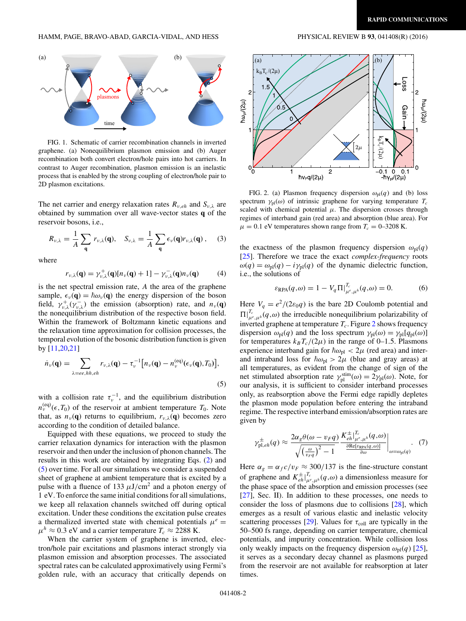<span id="page-1-0"></span>

FIG. 1. Schematic of carrier recombination channels in inverted graphene. (a) Nonequilibrium plasmon emission and (b) Auger recombination both convert electron/hole pairs into hot carriers. In contrast to Auger recombination, plasmon emission is an inelastic process that is enabled by the strong coupling of electron/hole pair to 2D plasmon excitations.

The net carrier and energy relaxation rates  $R_{v,eh}$  and  $S_{v,\lambda}$  are obtained by summation over all wave-vector states **q** of the reservoir bosons, i.e.,

$$
R_{\nu,\lambda} = \frac{1}{A} \sum_{\mathbf{q}} r_{\nu,\lambda}(\mathbf{q}), \quad S_{\nu,\lambda} = \frac{1}{A} \sum_{\mathbf{q}} \epsilon_{\nu}(\mathbf{q}) r_{\nu,\lambda}(\mathbf{q}), \quad (3)
$$

where

$$
r_{\nu,\lambda}(\mathbf{q}) = \gamma_{\nu,\lambda}^+(\mathbf{q})[n_{\nu}(\mathbf{q}) + 1] - \gamma_{\nu,\lambda}^-(\mathbf{q})n_{\nu}(\mathbf{q}) \qquad (4)
$$

is the net spectral emission rate, *A* the area of the graphene sample,  $\epsilon_{\nu}(\mathbf{q}) = \hbar \omega_{\nu}(\mathbf{q})$  the energy dispersion of the boson field,  $\gamma_{\nu,\lambda}^+(\gamma_{\nu,\lambda}^-)$  the emission (absorption) rate, and  $n_{\nu}(\mathbf{q})$ the nonequilibrium distribution of the respective boson field. Within the framework of Boltzmann kinetic equations and the relaxation time approximation for collision processes, the temporal evolution of the bosonic distribution function is given by [\[11](#page-3-0)[,20,21\]](#page-4-0)

$$
\dot{n}_{\nu}(\mathbf{q}) = \sum_{\lambda = ee, hh, eh} r_{\nu,\lambda}(\mathbf{q}) - \tau_{\nu}^{-1} \big[ n_{\nu}(\mathbf{q}) - n_{\nu}^{(eq)}(\epsilon_{\nu}(\mathbf{q}), T_0) \big],\tag{5}
$$

with a collision rate  $\tau_{\nu}^{-1}$ , and the equilibrium distribution  $n_{\nu}^{(eq)}(\epsilon, T_0)$  of the reservoir at ambient temperature  $T_0$ . Note that, as  $n_{\nu}(\mathbf{q})$  returns to equilibrium,  $r_{\nu,\lambda}(\mathbf{q})$  becomes zero according to the condition of detailed balance.

Equipped with these equations, we proceed to study the carrier relaxation dynamics for interaction with the plasmon reservoir and then under the inclusion of phonon channels. The results in this work are obtained by integrating Eqs. [\(2\)](#page-0-0) and (5) over time. For all our simulations we consider a suspended sheet of graphene at ambient temperature that is excited by a pulse with a fluence of 133  $\mu$ J/cm<sup>2</sup> and a photon energy of 1 eV. To enforce the same initial conditions for all simulations, we keep all relaxation channels switched off during optical excitation. Under these conditions the excitation pulse creates a thermalized inverted state with chemical potentials  $\mu^e$  =  $\mu^h \approx 0.3$  eV and a carrier temperature  $T_c \approx 2288$  K.

When the carrier system of graphene is inverted, electron/hole pair excitations and plasmons interact strongly via plasmon emission and absorption processes. The associated spectral rates can be calculated approximatively using Fermi's golden rule, with an accuracy that critically depends on



FIG. 2. (a) Plasmon frequency dispersion  $\omega_{pl}(q)$  and (b) loss spectrum  $\gamma_{\text{pl}}(\omega)$  of intrinsic graphene for varying temperature  $T_c$ scaled with chemical potential  $\mu$ . The dispersion crosses through regimes of interband gain (red area) and absorption (blue area). For  $\mu = 0.1$  eV temperatures shown range from  $T_c = 0-3208$  K.

the exactness of the plasmon frequency dispersion  $\omega_{pl}(q)$ [\[25\]](#page-4-0). Therefore we trace the exact *complex-frequency* roots  $\omega(q) = \omega_{\text{pl}}(q) - i\gamma_{\text{pl}}(q)$  of the dynamic dielectric function, i.e., the solutions of

$$
\varepsilon_{\text{RPA}}(q,\omega) = 1 - V_q \Pi|_{\mu^e, \mu^h}^{T_e}(q,\omega) = 0. \tag{6}
$$

Here  $V_q = e^2/(2\varepsilon_0 q)$  is the bare 2D Coulomb potential and  $\Pi|_{\mu^e, \mu^h}^{T_c}(q, \omega)$  the irreducible nonequilibrium polarizability of inverted graphene at temperature  $T_c$ . Figure 2 shows frequency dispersion  $\omega_{\text{pl}}(q)$  and the loss spectrum  $\gamma_{\text{pl}}(\omega) = \gamma_{\text{pl}}[q_{\text{pl}}(\omega)]$ for temperatures  $k_B T_c/(2\mu)$  in the range of 0–1.5. Plasmons experience interband gain for  $\hbar \omega_{\text{pl}} < 2\mu$  (red area) and interand intraband loss for  $\hbar \omega_{\text{pl}} > 2\mu$  (blue and gray areas) at all temperatures, as evident from the change of sign of the net stimulated absorption rate  $\gamma_{\rm pl}^{\rm sim}(\omega) = 2\gamma_{\rm pl}(\omega)$ . Note, for our analysis, it is sufficient to consider interband processes only, as reabsorption above the Fermi edge rapidly depletes the plasmon mode population before entering the intraband regime. The respective interband emission/absorption rates are given by

$$
\gamma_{\text{pl},eh}^{\pm}(q) \approx \frac{2\alpha_g \theta(\omega - \nu_F q)}{\sqrt{\left(\frac{\omega}{\nu_F q}\right)^2 - 1}} \frac{K_{eh}^{\pm} \Big|_{\mu^e, \mu^h}^{T_c}(q,\omega)}{\frac{\partial \text{Re}[\varepsilon_{\text{RPA}}(q,\omega)]}{\partial \omega}}\Big|_{\omega = \omega_{\text{pl}}(q)}.
$$
 (7)

Here  $\alpha_g = \alpha_f c/v_F \approx 300/137$  is the fine-structure constant of graphene and  $K_{eh}^{\pm} \big|_{\mu^e, \mu^h}^{T_c}(q,\omega)$  a dimensionless measure for the phase space of the absorption and emission processes (see [\[27\]](#page-4-0), Sec. II). In addition to these processes, one needs to consider the loss of plasmons due to collisions [\[28\]](#page-4-0), which emerges as a result of various elastic and inelastic velocity scattering processes [\[29\]](#page-4-0). Values for  $\tau_{\text{coll}}$  are typically in the 50–500 fs range, depending on carrier temperature, chemical potentials, and impurity concentration. While collision loss only weakly impacts on the frequency dispersion  $\omega_{pl}(q)$  [\[25\]](#page-4-0), it serves as a secondary decay channel as plasmons purged from the reservoir are not available for reabsorption at later times.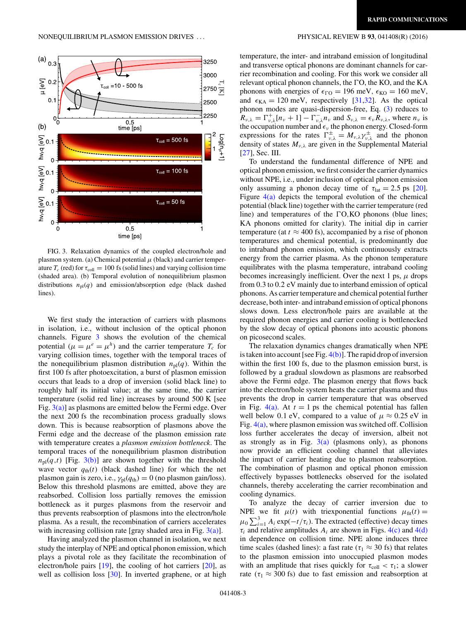

FIG. 3. Relaxation dynamics of the coupled electron/hole and plasmon system. (a) Chemical potential *μ* (black) and carrier temperature  $T_c$  (red) for  $\tau_{\text{coll}} = 100$  fs (solid lines) and varying collision time (shaded area). (b) Temporal evolution of nonequilibrium plasmon distributions  $n_{pl}(q)$  and emission/absorption edge (black dashed lines).

We first study the interaction of carriers with plasmons in isolation, i.e., without inclusion of the optical phonon channels. Figure 3 shows the evolution of the chemical potential  $(\mu = \mu^e = \mu^h)$  and the carrier temperature  $T_c$  for varying collision times, together with the temporal traces of the nonequilibrium plasmon distribution  $n_{pl}(q)$ . Within the first 100 fs after photoexcitation, a burst of plasmon emission occurs that leads to a drop of inversion (solid black line) to roughly half its initial value; at the same time, the carrier temperature (solid red line) increases by around 500 K [see Fig.  $3(a)$ ] as plasmons are emitted below the Fermi edge. Over the next 200 fs the recombination process gradually slows down. This is because reabsorption of plasmons above the Fermi edge and the decrease of the plasmon emission rate with temperature creates a *plasmon emission bottleneck*. The temporal traces of the nonequilibrium plasmon distribution  $n_{\text{pl}}(q,t)$  [Fig. 3(b)] are shown together with the threshold wave vector  $q_{\text{th}}(t)$  (black dashed line) for which the net plasmon gain is zero, i.e.,  $\gamma_{pl}(q_{th}) = 0$  (no plasmon gain/loss). Below this threshold plasmons are emitted, above they are reabsorbed. Collision loss partially removes the emission bottleneck as it purges plasmons from the reservoir and thus prevents reabsorption of plasmons into the electron/hole plasma. As a result, the recombination of carriers accelerates with increasing collision rate [gray shaded area in Fig.  $3(a)$ ].

Having analyzed the plasmon channel in isolation, we next study the interplay of NPE and optical phonon emission, which plays a pivotal role as they facilitate the recombination of electron/hole pairs [\[19\]](#page-4-0), the cooling of hot carriers [\[20\]](#page-4-0), as well as collision loss [\[30\]](#page-4-0). In inverted graphene, or at high

temperature, the inter- and intraband emission of longitudinal and transverse optical phonons are dominant channels for carrier recombination and cooling. For this work we consider all relevant optical phonon channels, the  $\Gamma$ O, the KO, and the KA phonons with energies of  $\epsilon_{\text{FO}} = 196$  meV,  $\epsilon_{\text{KO}} = 160$  meV, and  $\epsilon_{\text{KA}} = 120 \text{ meV}$ , respectively [\[31,32\]](#page-4-0). As the optical phonon modes are quasi-dispersion-free, Eq. [\(3\)](#page-1-0) reduces to  $R_{\nu,\lambda} = \Gamma_{\nu,\lambda}^{+}[n_{\nu} + 1] - \Gamma_{\nu,\lambda}^{-}n_{\nu}$  and  $S_{\nu,\lambda} = \epsilon_{\nu}R_{\nu,\lambda}$ , where  $n_{\nu}$  is the occupation number and  $\epsilon$ <sub>v</sub> the phonon energy. Closed-form expressions for the rates  $\Gamma_{\nu,\lambda}^{\pm} = M_{\nu,\lambda} \gamma_{\nu,\lambda}^{\pm}$  and the phonon density of states *Mν,λ* are given in the Supplemental Material [\[27\]](#page-4-0), Sec. III.

To understand the fundamental difference of NPE and optical phonon emission, we first consider the carrier dynamics without NPE, i.e., under inclusion of optical phonon emission only assuming a phonon decay time of  $\tau_{\text{lat}} = 2.5$  ps [\[20\]](#page-4-0). Figure  $4(a)$  depicts the temporal evolution of the chemical potential (black line) together with the carrier temperature (red line) and temperatures of the  $\Gamma$ O,KO phonons (blue lines; KA phonons omitted for clarity). The initial dip in carrier temperature (at  $t \approx 400$  fs), accompanied by a rise of phonon temperatures and chemical potential, is predominantly due to intraband phonon emission, which continuously extracts energy from the carrier plasma. As the phonon temperature equilibrates with the plasma temperature, intraband cooling becomes increasingly inefficient. Over the next 1 ps,  $\mu$  drops from 0*.*3 to 0*.*2 eV mainly due to interband emission of optical phonons. As carrier temperature and chemical potential further decrease, both inter- and intraband emission of optical phonons slows down. Less electron/hole pairs are available at the required phonon energies and carrier cooling is bottlenecked by the slow decay of optical phonons into acoustic phonons on picosecond scales.

The relaxation dynamics changes dramatically when NPE is taken into account [see Fig.  $4(b)$ ]. The rapid drop of inversion within the first 100 fs, due to the plasmon emission burst, is followed by a gradual slowdown as plasmons are reabsorbed above the Fermi edge. The plasmon energy that flows back into the electron/hole system heats the carrier plasma and thus prevents the drop in carrier temperature that was observed in Fig.  $4(a)$ . At  $t = 1$  ps the chemical potential has fallen well below 0.1 eV, compared to a value of  $\mu \approx 0.25$  eV in Fig. [4\(a\),](#page-3-0) where plasmon emission was switched off. Collision loss further accelerates the decay of inversion, albeit not as strongly as in Fig.  $3(a)$  (plasmons only), as phonons now provide an efficient cooling channel that alleviates the impact of carrier heating due to plasmon reabsorption. The combination of plasmon and optical phonon emission effectively bypasses bottlenecks observed for the isolated channels, thereby accelerating the carrier recombination and cooling dynamics.

To analyze the decay of carrier inversion due to NPE we fit  $\mu(t)$  with triexponential functions  $\mu_{\text{fit}}(t) =$  $\mu_0 \sum_{i=1}^3 A_i \exp(-t/\tau_i)$ . The extracted (effective) decay times  $\tau_i$  and relative amplitudes  $A_i$  are shown in Figs.  $4(c)$  and  $4(d)$ in dependence on collision time. NPE alone induces three time scales (dashed lines): a fast rate ( $\tau_1 \approx 30$  fs) that relates to the plasmon emission into unoccupied plasmon modes with an amplitude that rises quickly for  $\tau_{\text{coll}} < \tau_1$ ; a slower rate ( $\tau_1 \approx 300$  fs) due to fast emission and reabsorption at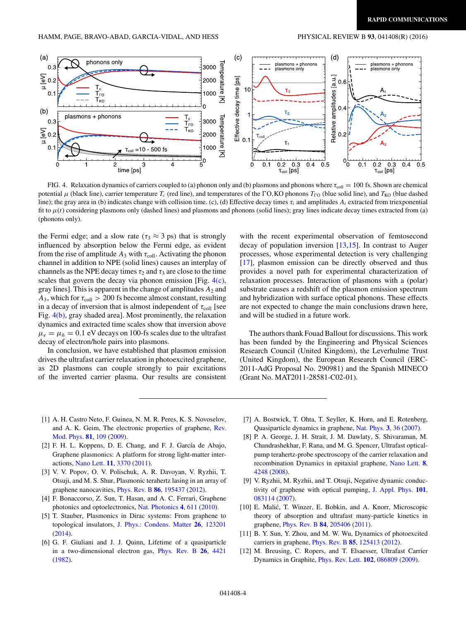<span id="page-3-0"></span>

FIG. 4. Relaxation dynamics of carriers coupled to (a) phonon only and (b) plasmons and phonons where  $\tau_{\text{coll}} = 100$  fs. Shown are chemical potential  $\mu$  (black line), carrier temperature *T<sub>c</sub>* (red line), and temperatures of the  $\Gamma$ O,KO phonons *T*<sub>CO</sub> (blue solid line), and *T*<sub>KO</sub> (blue dashed line); the gray area in (b) indicates change with collision time. (c), (d) Effective decay times *τi* and amplitudes *Ai* extracted from triexponential fit to  $\mu(t)$  considering plasmons only (dashed lines) and plasmons and phonons (solid lines); gray lines indicate decay times extracted from (a) (phonons only).

the Fermi edge; and a slow rate ( $\tau_3 \approx 3$  ps) that is strongly influenced by absorption below the Fermi edge, as evident from the rise of amplitude  $A_3$  with  $\tau_{\text{coll}}$ . Activating the phonon channel in addition to NPE (solid lines) causes an interplay of channels as the NPE decay times  $\tau_2$  and  $\tau_3$  are close to the time scales that govern the decay via phonon emission [Fig.  $4(c)$ , gray lines]. This is apparent in the change of amplitudes  $A_2$  and  $A_3$ , which for  $\tau_{\text{coll}} > 200$  fs become almost constant, resulting in a decay of inversion that is almost independent of  $\tau_{\text{coll}}$  [see Fig. 4(b), gray shaded area]. Most prominently, the relaxation dynamics and extracted time scales show that inversion above  $\mu_e = \mu_h = 0.1$  eV decays on 100-fs scales due to the ultrafast decay of electron/hole pairs into plasmons.

In conclusion, we have established that plasmon emission drives the ultrafast carrier relaxation in photoexcited graphene, as 2D plasmons can couple strongly to pair excitations of the inverted carrier plasma. Our results are consistent with the recent experimental observation of femtosecond decay of population inversion [\[13,15\]](#page-4-0). In contrast to Auger processes, whose experimental detection is very challenging [\[17\]](#page-4-0), plasmon emission can be directly observed and thus provides a novel path for experimental characterization of relaxation processes. Interaction of plasmons with a (polar) substrate causes a redshift of the plasmon emission spectrum and hybridization with surface optical phonons. These effects are not expected to change the main conclusions drawn here, and will be studied in a future work.

The authors thank Fouad Ballout for discussions. This work has been funded by the Engineering and Physical Sciences Research Council (United Kingdom), the Leverhulme Trust (United Kingdom), the European Research Council (ERC-2011-AdG Proposal No. 290981) and the Spanish MINECO (Grant No. MAT2011-28581-C02-01).

- [1] A. H. Castro Neto, F. Guinea, N. M. R. Peres, K. S. Novoselov, [and A. K. Geim, The electronic properties of graphene,](http://dx.doi.org/10.1103/RevModPhys.81.109) Rev. Mod. Phys. **[81](http://dx.doi.org/10.1103/RevModPhys.81.109)**, [109](http://dx.doi.org/10.1103/RevModPhys.81.109) [\(2009\)](http://dx.doi.org/10.1103/RevModPhys.81.109).
- [2] F. H. L. Koppens, D. E. Chang, and F. J. García de Abajo, Graphene plasmonics: A platform for strong light-matter interactions, [Nano Lett.](http://dx.doi.org/10.1021/nl201771h) **[11](http://dx.doi.org/10.1021/nl201771h)**, [3370](http://dx.doi.org/10.1021/nl201771h) [\(2011\)](http://dx.doi.org/10.1021/nl201771h).
- [3] V. V. Popov, O. V. Polischuk, A. R. Davoyan, V. Ryzhii, T. Otsuji, and M. S. Shur, Plasmonic terahertz lasing in an array of graphene nanocavities, [Phys. Rev. B](http://dx.doi.org/10.1103/PhysRevB.86.195437) **[86](http://dx.doi.org/10.1103/PhysRevB.86.195437)**, [195437](http://dx.doi.org/10.1103/PhysRevB.86.195437) [\(2012\)](http://dx.doi.org/10.1103/PhysRevB.86.195437).
- [4] F. Bonaccorso, Z. Sun, T. Hasan, and A. C. Ferrari, Graphene photonics and optoelectronics, [Nat. Photonics](http://dx.doi.org/10.1038/nphoton.2010.186) **[4](http://dx.doi.org/10.1038/nphoton.2010.186)**, [611](http://dx.doi.org/10.1038/nphoton.2010.186) [\(2010\)](http://dx.doi.org/10.1038/nphoton.2010.186).
- [5] T. Stauber, Plasmonics in Dirac systems: From graphene to topological insulators, [J. Phys.: Condens. Matter](http://dx.doi.org/10.1088/0953-8984/26/12/123201) **[26](http://dx.doi.org/10.1088/0953-8984/26/12/123201)**, [123201](http://dx.doi.org/10.1088/0953-8984/26/12/123201) [\(2014\)](http://dx.doi.org/10.1088/0953-8984/26/12/123201).
- [6] G. F. Giuliani and J. J. Quinn, Lifetime of a quasiparticle in a two-dimensional electron gas, [Phys. Rev. B](http://dx.doi.org/10.1103/PhysRevB.26.4421) **[26](http://dx.doi.org/10.1103/PhysRevB.26.4421)**, [4421](http://dx.doi.org/10.1103/PhysRevB.26.4421) [\(1982\)](http://dx.doi.org/10.1103/PhysRevB.26.4421).
- [7] A. Bostwick, T. Ohta, T. Seyller, K. Horn, and E. Rotenberg, Quasiparticle dynamics in graphene, [Nat. Phys.](http://dx.doi.org/10.1038/nphys477) **[3](http://dx.doi.org/10.1038/nphys477)**, [36](http://dx.doi.org/10.1038/nphys477) [\(2007\)](http://dx.doi.org/10.1038/nphys477).
- [8] P. A. George, J. H. Strait, J. M. Dawlaty, S. Shivaraman, M. Chandrashekhar, F. Rana, and M. G. Spencer, Ultrafast opticalpump terahertz-probe spectroscopy of the carrier relaxation and recombination Dynamics in epitaxial graphene, [Nano Lett.](http://dx.doi.org/10.1021/nl8019399) **[8](http://dx.doi.org/10.1021/nl8019399)**, [4248](http://dx.doi.org/10.1021/nl8019399) [\(2008\)](http://dx.doi.org/10.1021/nl8019399).
- [9] V. Ryzhii, M. Ryzhii, and T. Otsuji, Negative dynamic conductivity of graphene with optical pumping, [J. Appl. Phys.](http://dx.doi.org/10.1063/1.2717566) **[101](http://dx.doi.org/10.1063/1.2717566)**, [083114](http://dx.doi.org/10.1063/1.2717566) [\(2007\)](http://dx.doi.org/10.1063/1.2717566).
- [10] E. Malić, T. Winzer, E. Bobkin, and A. Knorr, Microscopic theory of absorption and ultrafast many-particle kinetics in graphene, [Phys. Rev. B](http://dx.doi.org/10.1103/PhysRevB.84.205406) **[84](http://dx.doi.org/10.1103/PhysRevB.84.205406)**, [205406](http://dx.doi.org/10.1103/PhysRevB.84.205406) [\(2011\)](http://dx.doi.org/10.1103/PhysRevB.84.205406).
- [11] B. Y. Sun, Y. Zhou, and M. W. Wu, Dynamics of photoexcited carriers in graphene, [Phys. Rev. B](http://dx.doi.org/10.1103/PhysRevB.85.125413) **[85](http://dx.doi.org/10.1103/PhysRevB.85.125413)**, [125413](http://dx.doi.org/10.1103/PhysRevB.85.125413) [\(2012\)](http://dx.doi.org/10.1103/PhysRevB.85.125413).
- [12] M. Breusing, C. Ropers, and T. Elsaesser, Ultrafast Carrier Dynamics in Graphite, [Phys. Rev. Lett.](http://dx.doi.org/10.1103/PhysRevLett.102.086809) **[102](http://dx.doi.org/10.1103/PhysRevLett.102.086809)**, [086809](http://dx.doi.org/10.1103/PhysRevLett.102.086809) [\(2009\)](http://dx.doi.org/10.1103/PhysRevLett.102.086809).